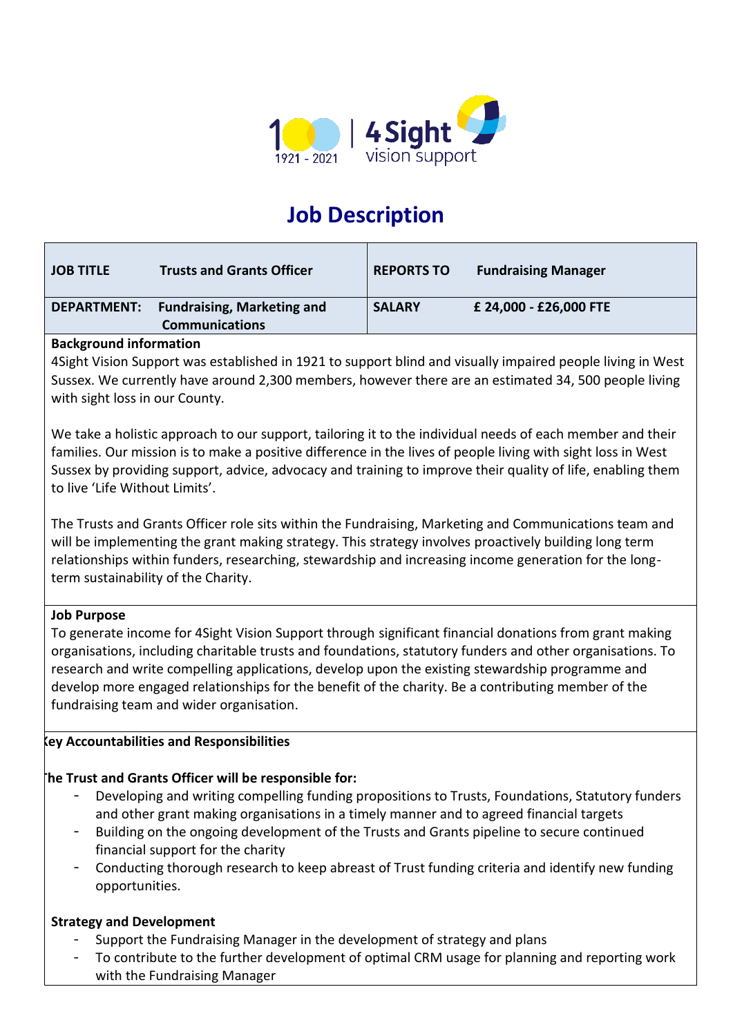

# **Job Description**

| <b>JOB TITLE</b>   | <b>Trusts and Grants Officer</b>  | <b>REPORTS TO</b> | <b>Fundraising Manager</b> |
|--------------------|-----------------------------------|-------------------|----------------------------|
| <b>DEPARTMENT:</b> | <b>Fundraising, Marketing and</b> | <b>SALARY</b>     | £ 24,000 - £26,000 FTE     |
|                    | <b>Communications</b>             |                   |                            |

# **Background information**

4Sight Vision Support was established in 1921 to support blind and visually impaired people living in West Sussex. We currently have around 2,300 members, however there are an estimated 34, 500 people living with sight loss in our County.

We take a holistic approach to our support, tailoring it to the individual needs of each member and their families. Our mission is to make a positive difference in the lives of people living with sight loss in West Sussex by providing support, advice, advocacy and training to improve their quality of life, enabling them to live 'Life Without Limits'.

The Trusts and Grants Officer role sits within the Fundraising, Marketing and Communications team and will be implementing the grant making strategy. This strategy involves proactively building long term relationships within funders, researching, stewardship and increasing income generation for the longterm sustainability of the Charity.

# **Job Purpose**

To generate income for 4Sight Vision Support through significant financial donations from grant making organisations, including charitable trusts and foundations, statutory funders and other organisations. To research and write compelling applications, develop upon the existing stewardship programme and develop more engaged relationships for the benefit of the charity. Be a contributing member of the fundraising team and wider organisation.

# **Key Accountabilities and Responsibilities**

# **The Trust and Grants Officer will be responsible for:**

- Developing and writing compelling funding propositions to Trusts, Foundations, Statutory funders and other grant making organisations in a timely manner and to agreed financial targets
- Building on the ongoing development of the Trusts and Grants pipeline to secure continued financial support for the charity
- Conducting thorough research to keep abreast of Trust funding criteria and identify new funding opportunities.

# **Strategy and Development**

- Support the Fundraising Manager in the development of strategy and plans
- To contribute to the further development of optimal CRM usage for planning and reporting work with the Fundraising Manager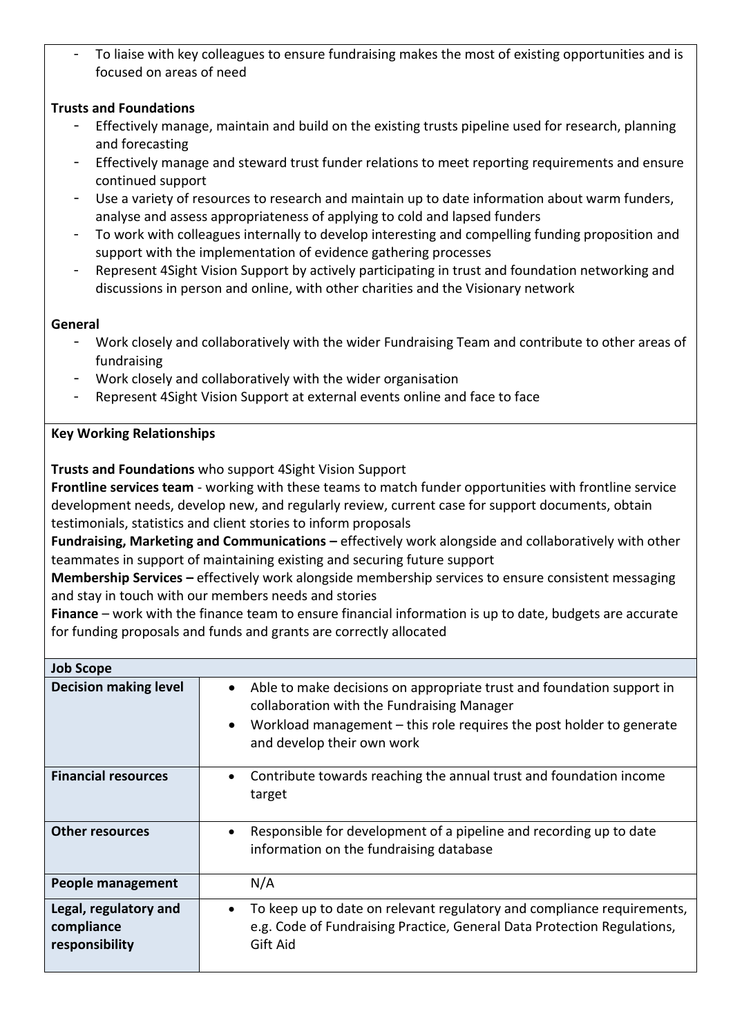To liaise with key colleagues to ensure fundraising makes the most of existing opportunities and is focused on areas of need

# **Trusts and Foundations**

- Effectively manage, maintain and build on the existing trusts pipeline used for research, planning and forecasting
- Effectively manage and steward trust funder relations to meet reporting requirements and ensure continued support
- Use a variety of resources to research and maintain up to date information about warm funders, analyse and assess appropriateness of applying to cold and lapsed funders
- To work with colleagues internally to develop interesting and compelling funding proposition and support with the implementation of evidence gathering processes
- Represent 4Sight Vision Support by actively participating in trust and foundation networking and discussions in person and online, with other charities and the Visionary network

#### **General**

- Work closely and collaboratively with the wider Fundraising Team and contribute to other areas of fundraising
- Work closely and collaboratively with the wider organisation
- Represent 4Sight Vision Support at external events online and face to face

# **Key Working Relationships**

**Trusts and Foundations** who support 4Sight Vision Support

**Frontline services team** - working with these teams to match funder opportunities with frontline service development needs, develop new, and regularly review, current case for support documents, obtain testimonials, statistics and client stories to inform proposals

**Fundraising, Marketing and Communications –** effectively work alongside and collaboratively with other teammates in support of maintaining existing and securing future support

**Membership Services –** effectively work alongside membership services to ensure consistent messaging and stay in touch with our members needs and stories

**Finance** – work with the finance team to ensure financial information is up to date, budgets are accurate for funding proposals and funds and grants are correctly allocated

| <b>Job Scope</b>                                      |                                                                                                                                                                                                                                                       |
|-------------------------------------------------------|-------------------------------------------------------------------------------------------------------------------------------------------------------------------------------------------------------------------------------------------------------|
| <b>Decision making level</b>                          | Able to make decisions on appropriate trust and foundation support in<br>$\bullet$<br>collaboration with the Fundraising Manager<br>Workload management $-$ this role requires the post holder to generate<br>$\bullet$<br>and develop their own work |
| <b>Financial resources</b>                            | Contribute towards reaching the annual trust and foundation income<br>$\bullet$<br>target                                                                                                                                                             |
| <b>Other resources</b>                                | Responsible for development of a pipeline and recording up to date<br>٠<br>information on the fundraising database                                                                                                                                    |
| <b>People management</b>                              | N/A                                                                                                                                                                                                                                                   |
| Legal, regulatory and<br>compliance<br>responsibility | To keep up to date on relevant regulatory and compliance requirements,<br>$\bullet$<br>e.g. Code of Fundraising Practice, General Data Protection Regulations,<br>Gift Aid                                                                            |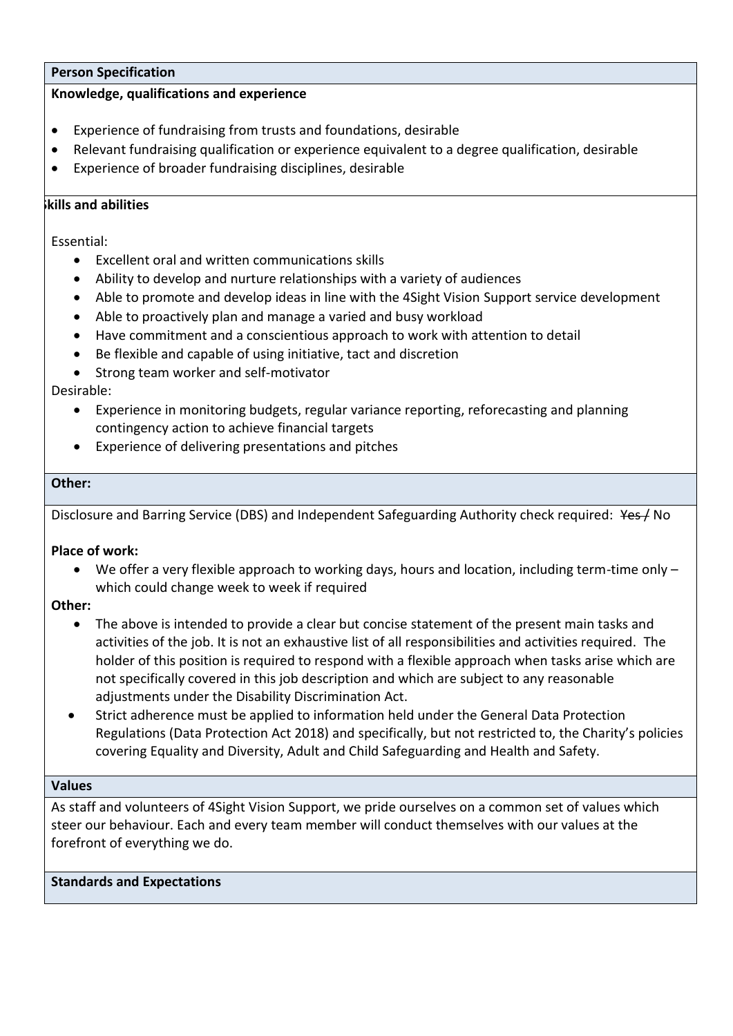#### **Person Specification**

#### **Knowledge, qualifications and experience**

- Experience of fundraising from trusts and foundations, desirable
- Relevant fundraising qualification or experience equivalent to a degree qualification, desirable
- Experience of broader fundraising disciplines, desirable

#### **Skills and abilities**

Essential:

- Excellent oral and written communications skills
- Ability to develop and nurture relationships with a variety of audiences
- Able to promote and develop ideas in line with the 4Sight Vision Support service development
- Able to proactively plan and manage a varied and busy workload
- Have commitment and a conscientious approach to work with attention to detail
- Be flexible and capable of using initiative, tact and discretion
- Strong team worker and self-motivator

Desirable:

- Experience in monitoring budgets, regular variance reporting, reforecasting and planning contingency action to achieve financial targets
- Experience of delivering presentations and pitches

#### **Other:**

Disclosure and Barring Service (DBS) and Independent Safeguarding Authority check required: Yes / No

# **Place of work:**

• We offer a very flexible approach to working days, hours and location, including term-time only – which could change week to week if required

#### **Other:**

- The above is intended to provide a clear but concise statement of the present main tasks and activities of the job. It is not an exhaustive list of all responsibilities and activities required. The holder of this position is required to respond with a flexible approach when tasks arise which are not specifically covered in this job description and which are subject to any reasonable adjustments under the Disability Discrimination Act.
- Strict adherence must be applied to information held under the General Data Protection Regulations (Data Protection Act 2018) and specifically, but not restricted to, the Charity's policies covering Equality and Diversity, Adult and Child Safeguarding and Health and Safety.

#### **Values**

As staff and volunteers of 4Sight Vision Support, we pride ourselves on a common set of values which steer our behaviour. Each and every team member will conduct themselves with our values at the forefront of everything we do.

# **Standards and Expectations**